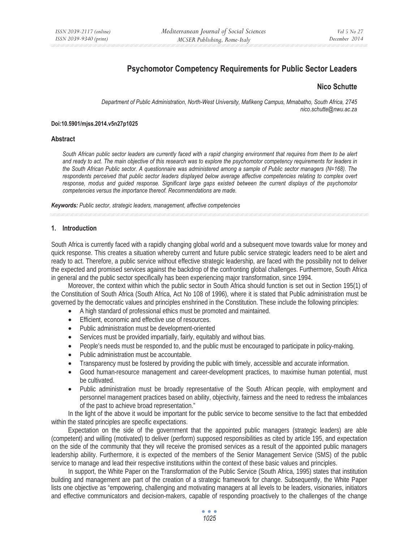# **Psychomotor Competency Requirements for Public Sector Leaders**

### **Nico Schutte**

*Department of Public Administration, North-West University, Mafikeng Campus, Mmabatho, South Africa, 2745 nico.schutte@nwu.ac.za* 

#### **Doi:10.5901/mjss.2014.v5n27p1025**

#### **Abstract**

*South African public sector leaders are currently faced with a rapid changing environment that requires from them to be alert and ready to act. The main objective of this research was to explore the psychomotor competency requirements for leaders in the South African Public sector. A questionnaire was administered among a sample of Public sector managers (N=168). The respondents perceived that public sector leaders displayed below average affective competencies relating to complex overt response, modus and guided response. Significant large gaps existed between the current displays of the psychomotor competencies versus the importance thereof. Recommendations are made.* 

*Keywords: Public sector, strategic leaders, management, affective competencies*

### **1. Introduction**

South Africa is currently faced with a rapidly changing global world and a subsequent move towards value for money and quick response. This creates a situation whereby current and future public service strategic leaders need to be alert and ready to act. Therefore, a public service without effective strategic leadership, are faced with the possibility not to deliver the expected and promised services against the backdrop of the confronting global challenges. Furthermore, South Africa in general and the public sector specifically has been experiencing major transformation, since 1994.

Moreover, the context within which the public sector in South Africa should function is set out in Section 195(1) of the Constitution of South Africa (South Africa, Act No 108 of 1996), where it is stated that Public administration must be governed by the democratic values and principles enshrined in the Constitution. These include the following principles:

- A high standard of professional ethics must be promoted and maintained.
- Efficient, economic and effective use of resources.
- Public administration must be development-oriented
- Services must be provided impartially, fairly, equitably and without bias.
- People's needs must be responded to, and the public must be encouraged to participate in policy-making.
- Public administration must be accountable.
- Transparency must be fostered by providing the public with timely, accessible and accurate information.
- Good human-resource management and career-development practices, to maximise human potential, must be cultivated.
- Public administration must be broadly representative of the South African people, with employment and personnel management practices based on ability, objectivity, fairness and the need to redress the imbalances of the past to achieve broad representation."

In the light of the above it would be important for the public service to become sensitive to the fact that embedded within the stated principles are specific expectations.

Expectation on the side of the government that the appointed public managers (strategic leaders) are able (competent) and willing (motivated) to deliver (perform) supposed responsibilities as cited by article 195, and expectation on the side of the community that they will receive the promised services as a result of the appointed public managers leadership ability. Furthermore, it is expected of the members of the Senior Management Service (SMS) of the public service to manage and lead their respective institutions within the context of these basic values and principles.

In support, the White Paper on the Transformation of the Public Service (South Africa, 1995) states that institution building and management are part of the creation of a strategic framework for change. Subsequently, the White Paper lists one objective as "empowering, challenging and motivating managers at all levels to be leaders, visionaries, initiators and effective communicators and decision-makers, capable of responding proactively to the challenges of the change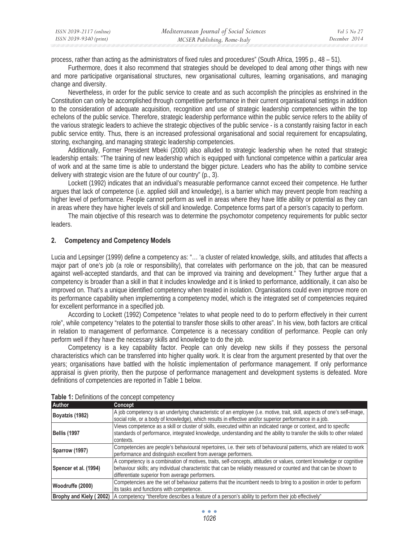| ISSN 2039-2117 (online) | Mediterranean Journal of Social Sciences | Vol 5 No 27   |
|-------------------------|------------------------------------------|---------------|
| ISSN 2039-9340 (print)  | MCSER Publishing, Rome-Italy             | December 2014 |

process, rather than acting as the administrators of fixed rules and procedures" (South Africa, 1995 p., 48 – 51).

Furthermore, does it also recommend that strategies should be developed to deal among other things with new and more participative organisational structures, new organisational cultures, learning organisations, and managing change and diversity.

Nevertheless, in order for the public service to create and as such accomplish the principles as enshrined in the Constitution can only be accomplished through competitive performance in their current organisational settings in addition to the consideration of adequate acquisition, recognition and use of strategic leadership competencies within the top echelons of the public service. Therefore, strategic leadership performance within the public service refers to the ability of the various strategic leaders to achieve the strategic objectives of the public service - is a constantly raising factor in each public service entity. Thus, there is an increased professional organisational and social requirement for encapsulating, storing, exchanging, and managing strategic leadership competencies.

Additionally, Former President Mbeki (2000) also alluded to strategic leadership when he noted that strategic leadership entails: "The training of new leadership which is equipped with functional competence within a particular area of work and at the same time is able to understand the bigger picture. Leaders who has the ability to combine service delivery with strategic vision are the future of our country" (p., 3).

Lockett (1992) indicates that an individual's measurable performance cannot exceed their competence. He further argues that lack of competence (i.e. applied skill and knowledge), is a barrier which may prevent people from reaching a higher level of performance. People cannot perform as well in areas where they have little ability or potential as they can in areas where they have higher levels of skill and knowledge. Competence forms part of a person's capacity to perform.

The main objective of this research was to determine the psychomotor competency requirements for public sector leaders.

### **2. Competency and Competency Models**

Lucia and Lepsinger (1999) define a competency as: "… 'a cluster of related knowledge, skills, and attitudes that affects a major part of one's job (a role or responsibility), that correlates with performance on the job, that can be measured against well-accepted standards, and that can be improved via training and development." They further argue that a competency is broader than a skill in that it includes knowledge and it is linked to performance, additionally, it can also be improved on. That's a unique identified competency when treated in isolation. Organisations could even improve more on its performance capability when implementing a competency model, which is the integrated set of competencies required for excellent performance in a specified job.

According to Lockett (1992) Competence "relates to what people need to do to perform effectively in their current role", while competency "relates to the potential to transfer those skills to other areas". In his view, both factors are critical in relation to management of performance. Competence is a necessary condition of performance. People can only perform well if they have the necessary skills and knowledge to do the job.

Competency is a key capability factor. People can only develop new skills if they possess the personal characteristics which can be transferred into higher quality work. It is clear from the argument presented by that over the years; organisations have battled with the holistic implementation of performance management. If only performance appraisal is given priority, then the purpose of performance management and development systems is defeated. More definitions of competencies are reported in Table 1 below.

| Author                | <b>Concept</b>                                                                                                              |
|-----------------------|-----------------------------------------------------------------------------------------------------------------------------|
| Boyatzis (1982)       | A job competency is an underlying characteristic of an employee (i.e. motive, trait, skill, aspects of one's self-image,    |
|                       | social role, or a body of knowledge), which results in effective and/or superior performance in a job.                      |
|                       | Views competence as a skill or cluster of skills, executed within an indicated range or context, and to specific            |
| <b>Bellis (1997</b>   | standards of performance, integrated knowledge, understanding and the ability to transfer the skills to other related       |
|                       | contexts.                                                                                                                   |
|                       | Competencies are people's behavioural repertoires, i.e. their sets of behavioural patterns, which are related to work       |
| Sparrow (1997)        | performance and distinguish excellent from average performers.                                                              |
|                       | A competency is a combination of motives, traits, self-concepts, attitudes or values, content knowledge or cognitive        |
| Spencer et al. (1994) | behaviour skills; any individual characteristic that can be reliably measured or counted and that can be shown to           |
|                       | differentiate superior from average performers.                                                                             |
| Woodruffe (2000)      | Competencies are the set of behaviour patterns that the incumbent needs to bring to a position in order to perform          |
|                       | its tasks and functions with competence.                                                                                    |
|                       | Brophy and Kiely (2002) A competency "therefore describes a feature of a person's ability to perform their job effectively" |

**Table 1:** Definitions of the concept competency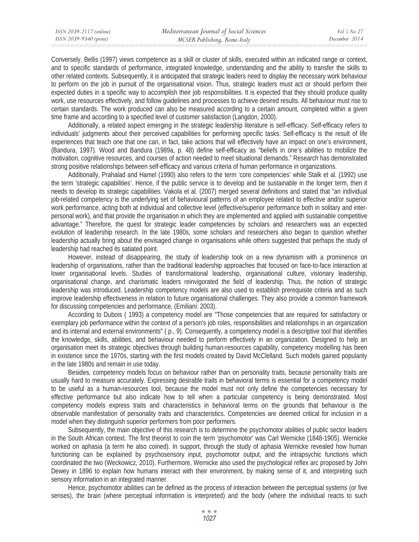Conversely, Bellis (1997) views competence as a skill or cluster of skills, executed within an indicated range or context, and to specific standards of performance, integrated knowledge, understanding and the ability to transfer the skills to other related contexts. Subsequently, it is anticipated that strategic leaders need to display the necessary work behaviour to perform on the job in pursuit of the organisational vision. Thus, strategic leaders must act or should perform their expected duties in a specific way to accomplish their job responsibilities. It is expected that they should produce quality work, use resources effectively, and follow guidelines and processes to achieve desired results. All behaviour must rise to certain standards. The work produced can also be measured according to a certain amount, completed within a given time frame and according to a specified level of customer satisfaction (Langdon, 2000).

Additionally, a related aspect emerging in the strategic leadership literature is self-efficacy. Self-efficacy refers to individuals' judgments about their perceived capabilities for performing specific tasks. Self-efficacy is the result of life experiences that teach one that one can, in fact, take actions that will effectively have an impact on one's environment, (Bandura, 1997). Wood and Bandura (1989a, p. 48) define self-efficacy as "beliefs in one's abilities to mobilize the motivation, cognitive resources, and courses of action needed to meet situational demands." Research has demonstrated strong positive relationships between self-efficacy and various criteria of human performance in organizations.

Additionally, Prahalad and Hamel (1990) also refers to the term 'core competencies' while Stalk et al. (1992) use the term 'strategic capabilities'. Hence, if the public service is to develop and be sustainable in the longer term, then it needs to develop its strategic capabilities. Vakola et al. (2007) merged several definitions and stated that "an individual job-related competency is the underlying set of behavioural patterns of an employee related to effective and/or superior work performance, acting both at individual and collective level (effective/superior performance both in solitary and interpersonal work), and that provide the organisation in which they are implemented and applied with sustainable competitive advantage." Therefore, the quest for strategic leader competencies by scholars and researchers was an expected evolution of leadership research. In the late 1980s, some scholars and researchers also began to question whether leadership actually bring about the envisaged change in organisations while others suggested that perhaps the study of leadership had reached its satiated point.

However, instead of disappearing, the study of leadership took on a new dynamism with a prominence on leadership of organisations, rather than the traditional leadership approaches that focused on face-to-face interaction at lower organisational levels. Studies of transformational leadership, organisational culture, visionary leadership, organisational change, and charismatic leaders reinvigorated the field of leadership. Thus, the notion of strategic leadership was introduced. Leadership competency models are also used to establish prerequisite criteria and as such improve leadership effectiveness in relation to future organisational challenges. They also provide a common framework for discussing competencies and performance, (Emiliani: 2003).

According to Dubois ( 1993) a competency model are "Those competencies that are required for satisfactory or exemplary job performance within the context of a person's job roles, responsibilities and relationships in an organization and its internal and external environments" ( p., 9). Consequently, a competency model is a descriptive tool that identifies the knowledge, skills, abilities, and behaviour needed to perform effectively in an organization. Designed to help an organisation meet its strategic objectives through building human-resources capability, competency modelling has been in existence since the 1970s, starting with the first models created by David McClelland. Such models gained popularity in the late 1980s and remain in use today.

Besides, competency models focus on behaviour rather than on personality traits, because personality traits are usually hard to measure accurately. Expressing desirable traits in behavioral terms is essential for a competency model to be useful as a human-resources tool, because the model must not only define the competencies necessary for effective performance but also indicate how to tell when a particular competency is being demonstrated. Most competency models express traits and characteristics in behavioral terms on the grounds that behaviour is the observable manifestation of personality traits and characteristics. Competencies are deemed critical for inclusion in a model when they distinguish superior performers from poor performers.

Subsequently, the main objective of this research is to determine the psychomotor abilities of public sector leaders in the South African context. The first theorist to coin the term 'psychomotor' was Carl Wernicke (1848-1905). Wernicke worked on aphasia (a term he also coined). In support, through the study of aphasia Wernicke revealed how human functioning can be explained by psychosensory input, psychomotor output, and the intrapsychic functions which coordinated the two (Weckowicz, 2010). Furthermore, Wernicke also used the psychological reflex arc proposed by John Dewey in 1896 to explain how humans interact with their environment, by making sense of it, and interpreting such sensory information in an integrated manner.

Hence, psychomotor abilities can be defined as the process of interaction between the perceptual systems (or five senses), the brain (where perceptual information is interpreted) and the body (where the individual reacts to such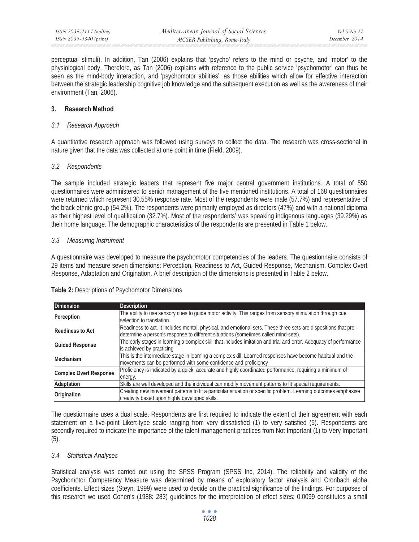perceptual stimuli). In addition, Tan (2006) explains that 'psycho' refers to the mind or psyche, and 'motor' to the physiological body. Therefore, as Tan (2006) explains with reference to the public service 'psychomotor' can thus be seen as the mind-body interaction, and 'psychomotor abilities', as those abilities which allow for effective interaction between the strategic leadership cognitive job knowledge and the subsequent execution as well as the awareness of their environment (Tan, 2006).

### **3. Research Method**

### *3.1 Research Approach*

A quantitative research approach was followed using surveys to collect the data. The research was cross-sectional in nature given that the data was collected at one point in time (Field, 2009).

### *3.2 Respondents*

The sample included strategic leaders that represent five major central government institutions. A total of 550 questionnaires were administered to senior management of the five mentioned institutions. A total of 168 questionnaires were returned which represent 30.55% response rate. Most of the respondents were male (57.7%) and representative of the black ethnic group (54.2%). The respondents were primarily employed as directors (47%) and with a national diploma as their highest level of qualification (32.7%). Most of the respondents' was speaking indigenous languages (39.29%) as their home language. The demographic characteristics of the respondents are presented in Table 1 below.

### *3.3 Measuring Instrument*

A questionnaire was developed to measure the psychomotor competencies of the leaders. The questionnaire consists of 29 items and measure seven dimensions: Perception, Readiness to Act, Guided Response, Mechanism, Complex Overt Response, Adaptation and Origination. A brief description of the dimensions is presented in Table 2 below.

| <b>Dimension</b>              | <b>Description</b>                                                                                                |
|-------------------------------|-------------------------------------------------------------------------------------------------------------------|
| Perception                    | The ability to use sensory cues to guide motor activity. This ranges from sensory stimulation through cue         |
|                               | selection to translation.                                                                                         |
| <b>Readiness to Act</b>       | Readiness to act. It includes mental, physical, and emotional sets. These three sets are dispositions that pre-   |
|                               | determine a person's response to different situations (sometimes called mind-sets).                               |
| <b>Guided Response</b>        | The early stages in learning a complex skill that includes imitation and trial and error. Adequacy of performance |
|                               | is achieved by practicing                                                                                         |
| <b>Mechanism</b>              | This is the intermediate stage in learning a complex skill. Learned responses have become habitual and the        |
|                               | movements can be performed with some confidence and proficiency                                                   |
| <b>Complex Overt Response</b> | Proficiency is indicated by a quick, accurate and highly coordinated performance, requiring a minimum of          |
|                               | energy.                                                                                                           |
| <b>Adaptation</b>             | Skills are well developed and the individual can modify movement patterns to fit special requirements.            |
| Origination                   | Creating new movement patterns to fit a particular situation or specific problem. Learning outcomes emphasise     |
|                               | creativity based upon highly developed skills.                                                                    |

# **Table 2:** Descriptions of Psychomotor Dimensions

The questionnaire uses a dual scale. Respondents are first required to indicate the extent of their agreement with each statement on a five-point Likert-type scale ranging from very dissatisfied (1) to very satisfied (5). Respondents are secondly required to indicate the importance of the talent management practices from Not Important (1) to Very Important (5).

# *3.4 Statistical Analyses*

Statistical analysis was carried out using the SPSS Program (SPSS Inc, 2014). The reliability and validity of the Psychomotor Competency Measure was determined by means of exploratory factor analysis and Cronbach alpha coefficients. Effect sizes (Steyn, 1999) were used to decide on the practical significance of the findings. For purposes of this research we used Cohen's (1988: 283) guidelines for the interpretation of effect sizes: 0.0099 constitutes a small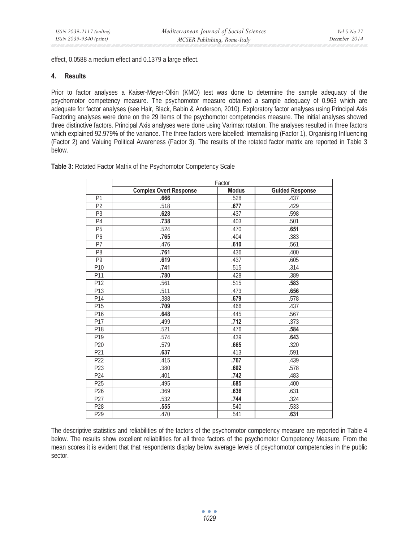effect, 0.0588 a medium effect and 0.1379 a large effect.

#### **4. Results**

Prior to factor analyses a Kaiser-Meyer-Olkin (KMO) test was done to determine the sample adequacy of the psychomotor competency measure. The psychomotor measure obtained a sample adequacy of 0.963 which are adequate for factor analyses (see Hair, Black, Babin & Anderson, 2010). Exploratory factor analyses using Principal Axis Factoring analyses were done on the 29 items of the psychomotor competencies measure. The initial analyses showed three distinctive factors. Principal Axis analyses were done using Varimax rotation. The analyses resulted in three factors which explained 92.979% of the variance. The three factors were labelled: Internalising (Factor 1), Organising Influencing (Factor 2) and Valuing Political Awareness (Factor 3). The results of the rotated factor matrix are reported in Table 3 below.

| Table 3: Rotated Factor Matrix of the Psychomotor Competency Scale |  |  |
|--------------------------------------------------------------------|--|--|
|--------------------------------------------------------------------|--|--|

|                 | Factor                        |              |                        |  |
|-----------------|-------------------------------|--------------|------------------------|--|
|                 | <b>Complex Overt Response</b> | <b>Modus</b> | <b>Guided Response</b> |  |
| P <sub>1</sub>  | .666                          | .528         | .437                   |  |
| $\overline{P2}$ | .518                          | .677         | .429                   |  |
| P <sub>3</sub>  | .628                          | .437         | .598                   |  |
| P <sub>4</sub>  | .738                          | .403         | .501                   |  |
| P <sub>5</sub>  | .524                          | .470         | .651                   |  |
| P6              | .765                          | .404         | .383                   |  |
| P7              | .476                          | .610         | .561                   |  |
| P <sub>8</sub>  | .761                          | .436         | .400                   |  |
| P9              | .619                          | .437         | .605                   |  |
| P10             | .741                          | .515         | .314                   |  |
| P11             | .780                          | .428         | .389                   |  |
| P12             | .561                          | .515         | .583                   |  |
| P13             | .511                          | .473         | .656                   |  |
| P14             | .388                          | .679         | .578                   |  |
| P15             | .709                          | .466         | .437                   |  |
| P16             | .648                          | .445         | .567                   |  |
| P17             | .499                          | .712         | .373                   |  |
| P18             | .521                          | .476         | .584                   |  |
| P <sub>19</sub> | .574                          | .439         | .643                   |  |
| P <sub>20</sub> | .579                          | .665         | .320                   |  |
| P21             | .637                          | .413         | .591                   |  |
| P22             | .415                          | .767         | .439                   |  |
| P23             | .380                          | .602         | .578                   |  |
| P24             | .401                          | .742         | .483                   |  |
| P25             | .495                          | .685         | .400                   |  |
| P <sub>26</sub> | .369                          | .636         | .631                   |  |
| P27             | .532                          | .744         | .324                   |  |
| P28             | .555                          | .540         | .533                   |  |
| P29             | .470                          | .541         | .631                   |  |

The descriptive statistics and reliabilities of the factors of the psychomotor competency measure are reported in Table 4 below. The results show excellent reliabilities for all three factors of the psychomotor Competency Measure. From the mean scores it is evident that that respondents display below average levels of psychomotor competencies in the public sector.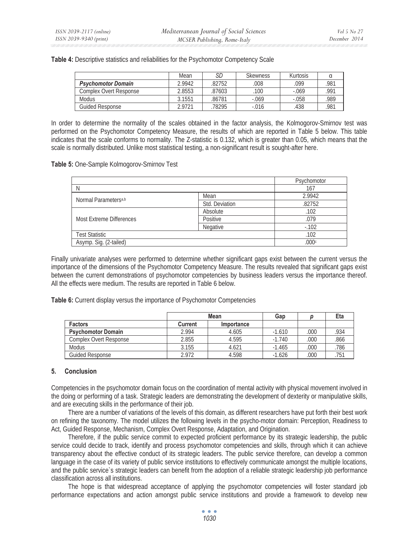|                           | Mean   | SD     | <b>Skewness</b> | Kurtosis |      |
|---------------------------|--------|--------|-----------------|----------|------|
| <b>Psychomotor Domain</b> | 2.9942 | 82752  | .008            | .099     | .981 |
| Complex Overt Response    | 2.8553 | .87603 | 100             | $-.069$  | .991 |
| <b>Modus</b>              | 3.1551 | .86781 | $-.069$         | $-.058$  | .989 |
| Guided Response           | 2.9721 | 78295  | $-.016$         | 438      | .981 |

In order to determine the normality of the scales obtained in the factor analysis, the Kolmogorov-Smirnov test was performed on the Psychomotor Competency Measure, the results of which are reported in Table 5 below. This table indicates that the scale conforms to normality. The Z-statistic is 0.132, which is greater than 0.05, which means that the scale is normally distributed. Unlike most statistical testing, a non-significant result is sought-after here.

**Table 5:** One-Sample Kolmogorov-Smirnov Test

|                                  |                | Psychomotor |
|----------------------------------|----------------|-------------|
| N                                |                | 167         |
| Normal Parameters <sup>a,b</sup> | Mean           | 2.9942      |
|                                  | Std. Deviation | .82752      |
|                                  | Absolute       | .102        |
| Most Extreme Differences         | Positive       | .079        |
|                                  | Negative       | $-102$      |
| <b>Test Statistic</b>            |                | .102        |
| Asymp. Sig. (2-tailed)           |                | .000c       |

Finally univariate analyses were performed to determine whether significant gaps exist between the current versus the importance of the dimensions of the Psychomotor Competency Measure. The results revealed that significant gaps exist between the current demonstrations of psychomotor competencies by business leaders versus the importance thereof. All the effects were medium. The results are reported in Table 6 below.

**Table 6:** Current display versus the importance of Psychomotor Competencies

|                               |                | Mean       | Gap      |      | Eta  |
|-------------------------------|----------------|------------|----------|------|------|
| <b>Factors</b>                | <b>Current</b> | Importance |          |      |      |
| <b>Psychomotor Domain</b>     | 2.994          | 4.605      | $-1.610$ | .000 | 934  |
| <b>Complex Overt Response</b> | 2.855          | 4.595      | $-1.740$ | .000 | 866  |
| <b>Modus</b>                  | 3.155          | 4.621      | $-1.465$ | .000 | 786  |
| <b>Guided Response</b>        | 2.972          | 4.598      | $-1.626$ | 000  | .751 |

# **5. Conclusion**

Competencies in the psychomotor domain focus on the coordination of mental activity with physical movement involved in the doing or performing of a task. Strategic leaders are demonstrating the development of dexterity or manipulative skills, and are executing skills in the performance of their job.

There are a number of variations of the levels of this domain, as different researchers have put forth their best work on refining the taxonomy. The model utilizes the following levels in the psycho-motor domain: Perception, Readiness to Act, Guided Response, Mechanism, Complex Overt Response, Adaptation, and Origination.

Therefore, if the public service commit to expected proficient performance by its strategic leadership, the public service could decide to track, identify and process psychomotor competencies and skills, through which it can achieve transparency about the effective conduct of its strategic leaders. The public service therefore, can develop a common language in the case of its variety of public service institutions to effectively communicate amongst the multiple locations, and the public service`s strategic leaders can benefit from the adoption of a reliable strategic leadership job performance classification across all institutions.

The hope is that widespread acceptance of applying the psychomotor competencies will foster standard job performance expectations and action amongst public service institutions and provide a framework to develop new